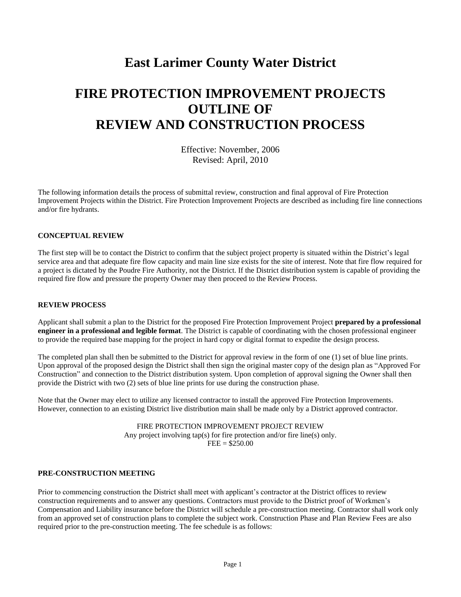## **East Larimer County Water District**

# **FIRE PROTECTION IMPROVEMENT PROJECTS OUTLINE OF REVIEW AND CONSTRUCTION PROCESS**

Effective: November, 2006 Revised: April, 2010

The following information details the process of submittal review, construction and final approval of Fire Protection Improvement Projects within the District. Fire Protection Improvement Projects are described as including fire line connections and/or fire hydrants.

## **CONCEPTUAL REVIEW**

The first step will be to contact the District to confirm that the subject project property is situated within the District's legal service area and that adequate fire flow capacity and main line size exists for the site of interest. Note that fire flow required for a project is dictated by the Poudre Fire Authority, not the District. If the District distribution system is capable of providing the required fire flow and pressure the property Owner may then proceed to the Review Process.

#### **REVIEW PROCESS**

Applicant shall submit a plan to the District for the proposed Fire Protection Improvement Project **prepared by a professional engineer in a professional and legible format**. The District is capable of coordinating with the chosen professional engineer to provide the required base mapping for the project in hard copy or digital format to expedite the design process.

The completed plan shall then be submitted to the District for approval review in the form of one (1) set of blue line prints. Upon approval of the proposed design the District shall then sign the original master copy of the design plan as "Approved For Construction" and connection to the District distribution system. Upon completion of approval signing the Owner shall then provide the District with two (2) sets of blue line prints for use during the construction phase.

Note that the Owner may elect to utilize any licensed contractor to install the approved Fire Protection Improvements. However, connection to an existing District live distribution main shall be made only by a District approved contractor.

> FIRE PROTECTION IMPROVEMENT PROJECT REVIEW Any project involving tap(s) for fire protection and/or fire line(s) only.  $FEE = $250.00$

## **PRE-CONSTRUCTION MEETING**

Prior to commencing construction the District shall meet with applicant's contractor at the District offices to review construction requirements and to answer any questions. Contractors must provide to the District proof of Workmen's Compensation and Liability insurance before the District will schedule a pre-construction meeting. Contractor shall work only from an approved set of construction plans to complete the subject work. Construction Phase and Plan Review Fees are also required prior to the pre-construction meeting. The fee schedule is as follows: